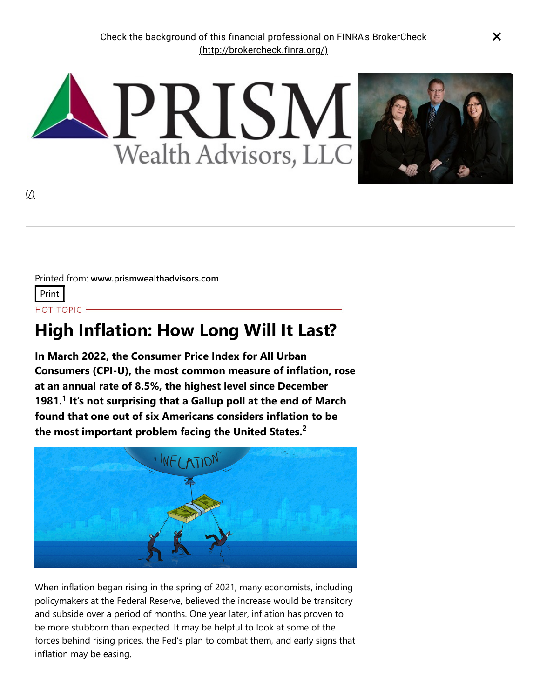

Printed from: www.prismwealthadvisors.com Print HOT TOPIC -

# **High Inflation: How Long Will It Last?**

**In March 2022, the Consumer Price Index for All Urban Consumers (CPI-U), the most common measure of inflation, rose at an annual rate of 8.5%, the highest level since December 1981. It's not surprising that a Gallup poll at the end of March 1 found that one out of six Americans considers inflation to be the most important problem facing the United States. 2**



When inflation began rising in the spring of 2021, many economists, including policymakers at the Federal Reserve, believed the increase would be transitory and subside over a period of months. One year later, inflation has proven to be more stubborn than expected. It may be helpful to look at some of the forces behind rising prices, the Fed's plan to combat them, and early signs that inflation may be easing.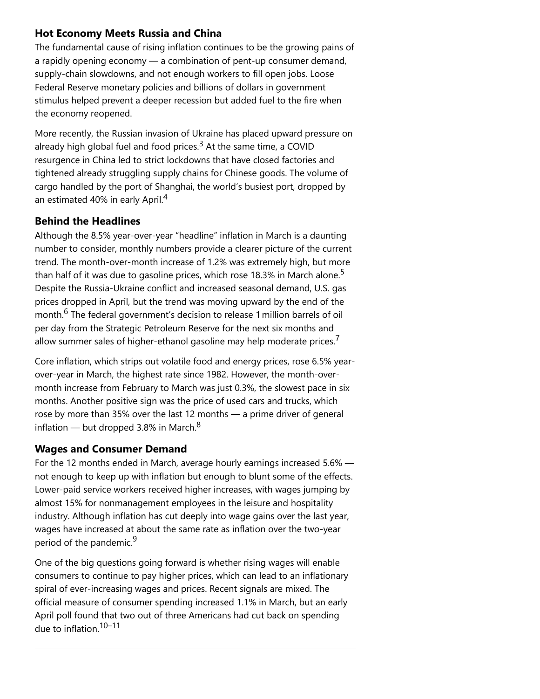## **Hot Economy Meets Russia and China**

The fundamental cause of rising inflation continues to be the growing pains of a rapidly opening economy — a combination of pent-up consumer demand, supply-chain slowdowns, and not enough workers to fill open jobs. Loose Federal Reserve monetary policies and billions of dollars in government stimulus helped prevent a deeper recession but added fuel to the fire when the economy reopened.

More recently, the Russian invasion of Ukraine has placed upward pressure on already high global fuel and food prices.<sup>3</sup> At the same time, a COVID resurgence in China led to strict lockdowns that have closed factories and tightened already struggling supply chains for Chinese goods. The volume of cargo handled by the port of Shanghai, the world's busiest port, dropped by an estimated 40% in early April.<sup>4</sup>

### **Behind the Headlines**

Although the 8.5% year-over-year "headline" inflation in March is a daunting number to consider, monthly numbers provide a clearer picture of the current trend. The month-over-month increase of 1.2% was extremely high, but more than half of it was due to gasoline prices, which rose 18.3% in March alone. $^{\mathsf{5}}$ Despite the Russia-Ukraine conflict and increased seasonal demand, U.S. gas prices dropped in April, but the trend was moving upward by the end of the month. $^6$  The federal government's decision to release 1 million barrels of oil per day from the Strategic Petroleum Reserve for the next six months and allow summer sales of higher-ethanol gasoline may help moderate prices.<sup>7</sup>

Core inflation, which strips out volatile food and energy prices, rose 6.5% yearover-year in March, the highest rate since 1982. However, the month-overmonth increase from February to March was just 0.3%, the slowest pace in six months. Another positive sign was the price of used cars and trucks, which rose by more than 35% over the last 12 months — a prime driver of general inflation — but dropped 3.8% in March.<sup>8</sup>

### **Wages and Consumer Demand**

For the 12 months ended in March, average hourly earnings increased 5.6% not enough to keep up with inflation but enough to blunt some of the effects. Lower-paid service workers received higher increases, with wages jumping by almost 15% for nonmanagement employees in the leisure and hospitality industry. Although inflation has cut deeply into wage gains over the last year, wages have increased at about the same rate as inflation over the two-year period of the pandemic.<sup>9</sup>

One of the big questions going forward is whether rising wages will enable consumers to continue to pay higher prices, which can lead to an inflationary spiral of ever-increasing wages and prices. Recent signals are mixed. The official measure of consumer spending increased 1.1% in March, but an early April poll found that two out of three Americans had cut back on spending due to inflation. 10–11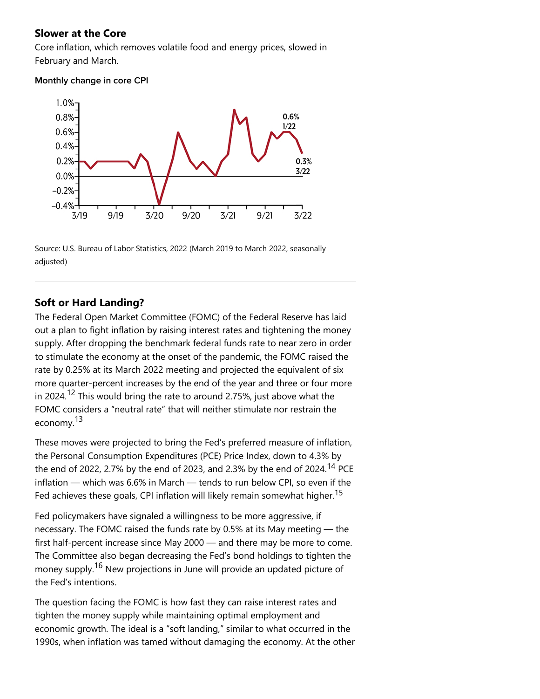#### **Slower at the Core**

Core inflation, which removes volatile food and energy prices, slowed in February and March.

#### Monthly change in core CPI



Source: U.S. Bureau of Labor Statistics, 2022 (March 2019 to March 2022, seasonally adjusted)

### **Soft or Hard Landing?**

The Federal Open Market Committee (FOMC) of the Federal Reserve has laid out a plan to fight inflation by raising interest rates and tightening the money supply. After dropping the benchmark federal funds rate to near zero in order to stimulate the economy at the onset of the pandemic, the FOMC raised the rate by 0.25% at its March 2022 meeting and projected the equivalent of six more quarter-percent increases by the end of the year and three or four more in 2024.<sup>12</sup> This would bring the rate to around 2.75%, just above what the FOMC considers a "neutral rate" that will neither stimulate nor restrain the economy.<sup>13</sup>

These moves were projected to bring the Fed's preferred measure of inflation, the Personal Consumption Expenditures (PCE) Price Index, down to 4.3% by the end of 2022, 2.7% by the end of 2023, and 2.3% by the end of 2024.<sup>14</sup> PCE inflation — which was 6.6% in March — tends to run below CPI, so even if the Fed achieves these goals, CPI inflation will likely remain somewhat higher.<sup>15</sup>

Fed policymakers have signaled a willingness to be more aggressive, if necessary. The FOMC raised the funds rate by 0.5% at its May meeting — the first half-percent increase since May 2000 — and there may be more to come. The Committee also began decreasing the Fed's bond holdings to tighten the money supply.<sup>16</sup> New projections in June will provide an updated picture of the Fed's intentions.

The question facing the FOMC is how fast they can raise interest rates and tighten the money supply while maintaining optimal employment and economic growth. The ideal is a "soft landing," similar to what occurred in the 1990s, when inflation was tamed without damaging the economy. At the other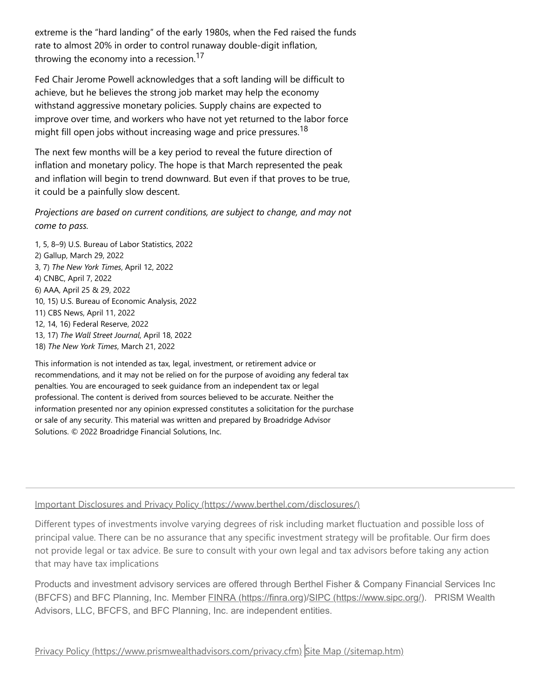extreme is the "hard landing" of the early 1980s, when the Fed raised the funds rate to almost 20% in order to control runaway double-digit inflation, throwing the economy into a recession.<sup>17</sup>

Fed Chair Jerome Powell acknowledges that a soft landing will be difficult to achieve, but he believes the strong job market may help the economy withstand aggressive monetary policies. Supply chains are expected to improve over time, and workers who have not yet returned to the labor force might fill open jobs without increasing wage and price pressures. <sup>18</sup>

The next few months will be a key period to reveal the future direction of inflation and monetary policy. The hope is that March represented the peak and inflation will begin to trend downward. But even if that proves to be true, it could be a painfully slow descent.

*Projections are based on current conditions, are subject to change, and may not come to pass.*

1, 5, 8–9) U.S. Bureau of Labor Statistics, 2022 2) Gallup, March 29, 2022 3, 7) *The New York Times*, April 12, 2022 4) CNBC, April 7, 2022 6) AAA, April 25 & 29, 2022 10, 15) U.S. Bureau of Economic Analysis, 2022 11) CBS News, April 11, 2022 12, 14, 16) Federal Reserve, 2022 13, 17) *The Wall Street Journal*, April 18, 2022 18) *The New York Times*, March 21, 2022

This information is not intended as tax, legal, investment, or retirement advice or recommendations, and it may not be relied on for the purpose of avoiding any federal tax penalties. You are encouraged to seek guidance from an independent tax or legal professional. The content is derived from sources believed to be accurate. Neither the information presented nor any opinion expressed constitutes a solicitation for the purchase or sale of any security. This material was written and prepared by Broadridge Advisor Solutions. © 2022 Broadridge Financial Solutions, Inc.

#### [Important Disclosures and Privacy Policy \(https://www.berthel.com/disclosures/\)](https://www.berthel.com/disclosures/)

Different types of investments involve varying degrees of risk including market fluctuation and possible loss of principal value. There can be no assurance that any specific investment strategy will be profitable. Our firm does not provide legal or tax advice. Be sure to consult with your own legal and tax advisors before taking any action that may have tax implications

Products and investment advisory services are offered through Berthel Fisher & Company Financial Services Inc (BFCFS) and BFC Planning, Inc. Member [FINRA \(https://finra.org\)/](https://finra.org/)[SIPC \(https://www.sipc.org/\)](https://www.sipc.org/). PRISM Wealth Advisors, LLC, BFCFS, and BFC Planning, Inc. are independent entities.